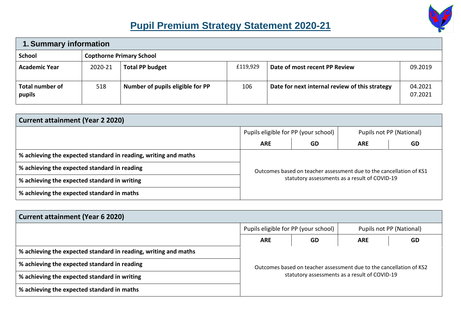

## **Pupil Premium Strategy Statement 2020-21**

| 1. Summary information           |                                 |                                  |          |                                                |                    |  |
|----------------------------------|---------------------------------|----------------------------------|----------|------------------------------------------------|--------------------|--|
| <b>School</b>                    | <b>Copthorne Primary School</b> |                                  |          |                                                |                    |  |
| <b>Academic Year</b>             | 2020-21                         | <b>Total PP budget</b>           | £119,929 | Date of most recent PP Review                  | 09.2019            |  |
| <b>Total number of</b><br>pupils | 518                             | Number of pupils eligible for PP | 106      | Date for next internal review of this strategy | 04.2021<br>07.2021 |  |

| <b>Current attainment (Year 2 2020)</b>                                                                             |            |                                      |            |                          |  |  |
|---------------------------------------------------------------------------------------------------------------------|------------|--------------------------------------|------------|--------------------------|--|--|
|                                                                                                                     |            | Pupils eligible for PP (your school) |            | Pupils not PP (National) |  |  |
|                                                                                                                     | <b>ARE</b> | <b>GD</b>                            | <b>ARE</b> | <b>GD</b>                |  |  |
| % achieving the expected standard in reading, writing and maths                                                     |            |                                      |            |                          |  |  |
| % achieving the expected standard in reading<br>Outcomes based on teacher assessment due to the cancellation of KS1 |            |                                      |            |                          |  |  |
| statutory assessments as a result of COVID-19<br>% achieving the expected standard in writing                       |            |                                      |            |                          |  |  |
| % achieving the expected standard in maths                                                                          |            |                                      |            |                          |  |  |

| <b>Current attainment (Year 6 2020)</b>                                                       |            |                                      |            |                                                                     |  |  |
|-----------------------------------------------------------------------------------------------|------------|--------------------------------------|------------|---------------------------------------------------------------------|--|--|
|                                                                                               |            | Pupils eligible for PP (your school) |            | Pupils not PP (National)                                            |  |  |
|                                                                                               | <b>ARE</b> | GD                                   | <b>ARE</b> | <b>GD</b>                                                           |  |  |
| % achieving the expected standard in reading, writing and maths                               |            |                                      |            |                                                                     |  |  |
| % achieving the expected standard in reading                                                  |            |                                      |            | Outcomes based on teacher assessment due to the cancellation of KS2 |  |  |
| statutory assessments as a result of COVID-19<br>% achieving the expected standard in writing |            |                                      |            |                                                                     |  |  |
| % achieving the expected standard in maths                                                    |            |                                      |            |                                                                     |  |  |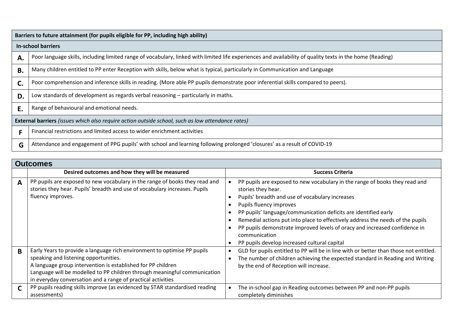|    | Barriers to future attainment (for pupils eligible for PP, including high ability)                                                                        |  |  |  |  |
|----|-----------------------------------------------------------------------------------------------------------------------------------------------------------|--|--|--|--|
|    | <b>In-school barriers</b>                                                                                                                                 |  |  |  |  |
| А. | Poor language skills, including limited range of vocabulary, linked with limited life experiences and availability of quality texts in the home (Reading) |  |  |  |  |
| В. | Many children entitled to PP enter Reception with skills, below what is typical, particularly in Communication and Language                               |  |  |  |  |
| C. | Poor comprehension and inference skills in reading. (More able PP pupils demonstrate poor inferential skills compared to peers).                          |  |  |  |  |
| D. | Low standards of development as regards verbal reasoning – particularly in maths.                                                                         |  |  |  |  |
| E. | Range of behavioural and emotional needs.                                                                                                                 |  |  |  |  |
|    | External barriers (issues which also require action outside school, such as low attendance rates)                                                         |  |  |  |  |
|    | Financial restrictions and limited access to wider enrichment activities                                                                                  |  |  |  |  |
| G  | Attendance and engagement of PPG pupils' with school and learning following prolonged 'closures' as a result of COVID-19                                  |  |  |  |  |

|   | <b>Outcomes</b>                                                                                                                                                                                                                                                                                                                |                                                                                                                                                                                                                                                                                                                                                                                                                                                                                     |  |  |  |
|---|--------------------------------------------------------------------------------------------------------------------------------------------------------------------------------------------------------------------------------------------------------------------------------------------------------------------------------|-------------------------------------------------------------------------------------------------------------------------------------------------------------------------------------------------------------------------------------------------------------------------------------------------------------------------------------------------------------------------------------------------------------------------------------------------------------------------------------|--|--|--|
|   | Desired outcomes and how they will be measured                                                                                                                                                                                                                                                                                 | <b>Success Criteria</b>                                                                                                                                                                                                                                                                                                                                                                                                                                                             |  |  |  |
| A | PP pupils are exposed to new vocabulary in the range of books they read and<br>stories they hear. Pupils' breadth and use of vocabulary increases. Pupils<br>fluency improves.                                                                                                                                                 | PP pupils are exposed to new vocabulary in the range of books they read and<br>stories they hear.<br>Pupils' breadth and use of vocabulary increases<br>Pupils fluency improves<br>PP pupils' language/communication deficits are identified early<br>Remedial actions put into place to effectively address the needs of the pupils<br>PP pupils demonstrate improved levels of oracy and increased confidence in<br>communication<br>PP pupils develop increased cultural capital |  |  |  |
| B | Early Years to provide a language rich environment to optimise PP pupils<br>speaking and listening opportunities.<br>A language group intervention is established for PP children<br>Language will be modelled to PP children through meaningful communication<br>in everyday conversation and a range of practical activities | GLD for pupils entitled to PP will be in line with or better than those not entitled.<br>The number of children achieving the expected standard in Reading and Writing<br>by the end of Reception will increase.                                                                                                                                                                                                                                                                    |  |  |  |
|   | PP pupils reading skills improve (as evidenced by STAR standardised reading<br>assessments)                                                                                                                                                                                                                                    | The in-school gap in Reading outcomes between PP and non-PP pupils<br>completely diminishes                                                                                                                                                                                                                                                                                                                                                                                         |  |  |  |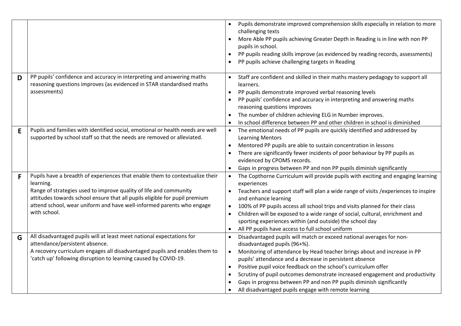|   |                                                                                                                                                                                                                                                                                                                                       | Pupils demonstrate improved comprehension skills especially in relation to more<br>challenging texts<br>More Able PP pupils achieving Greater Depth in Reading is in line with non PP<br>pupils in school.<br>PP pupils reading skills improve (as evidenced by reading records, assessments)<br>$\bullet$<br>PP pupils achieve challenging targets in Reading                                                                                                                                                                                          |
|---|---------------------------------------------------------------------------------------------------------------------------------------------------------------------------------------------------------------------------------------------------------------------------------------------------------------------------------------|---------------------------------------------------------------------------------------------------------------------------------------------------------------------------------------------------------------------------------------------------------------------------------------------------------------------------------------------------------------------------------------------------------------------------------------------------------------------------------------------------------------------------------------------------------|
| D | PP pupils' confidence and accuracy in interpreting and answering maths<br>reasoning questions improves (as evidenced in STAR standardised maths<br>assessments)                                                                                                                                                                       | Staff are confident and skilled in their maths mastery pedagogy to support all<br>learners.<br>PP pupils demonstrate improved verbal reasoning levels<br>PP pupils' confidence and accuracy in interpreting and answering maths<br>reasoning questions improves<br>The number of children achieving ELG in Number improves.<br>In school difference between PP and other children in school is diminished                                                                                                                                               |
| E | Pupils and families with identified social, emotional or health needs are well<br>supported by school staff so that the needs are removed or alleviated.                                                                                                                                                                              | The emotional needs of PP pupils are quickly identified and addressed by<br><b>Learning Mentors</b><br>Mentored PP pupils are able to sustain concentration in lessons<br>There are significantly fewer incidents of poor behaviour by PP pupils as<br>evidenced by CPOMS records.<br>Gaps in progress between PP and non PP pupils diminish significantly                                                                                                                                                                                              |
| F | Pupils have a breadth of experiences that enable them to contextualize their<br>learning.<br>Range of strategies used to improve quality of life and community<br>attitudes towards school ensure that all pupils eligible for pupil premium<br>attend school, wear uniform and have well-informed parents who engage<br>with school. | The Copthorne Curriculum will provide pupils with exciting and engaging learning<br>$\bullet$<br>experiences<br>Teachers and support staff will plan a wide range of visits / experiences to inspire<br>and enhance learning<br>100% of PP pupils access all school trips and visits planned for their class<br>Children will be exposed to a wide range of social, cultural, enrichment and<br>sporting experiences within (and outside) the school day<br>All PP pupils have access to full school uniform                                            |
| G | All disadvantaged pupils will at least meet national expectations for<br>attendance/persistent absence.<br>A recovery curriculum engages all disadvantaged pupils and enables them to<br>'catch up' following disruption to learning caused by COVID-19.                                                                              | Disadvantaged pupils will match or exceed national averages for non-<br>disadvantaged pupils (96+%).<br>Monitoring of attendance by Head teacher brings about and increase in PP<br>$\bullet$<br>pupils' attendance and a decrease in persistent absence<br>Positive pupil voice feedback on the school's curriculum offer<br>$\bullet$<br>Scrutiny of pupil outcomes demonstrate increased engagement and productivity<br>Gaps in progress between PP and non PP pupils diminish significantly<br>All disadvantaged pupils engage with remote learning |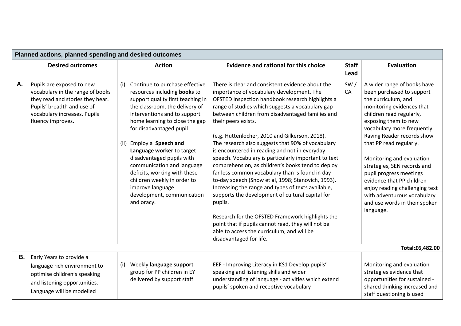|           | Planned actions, planned spending and desired outcomes                                                                                                                               |                                                                                                                                                                                                                                                                                                                                                                                                                                                                                              |                                                                                                                                                                                                                                                                                                                                                                                                                                                                                                                                                                                                                                                                                                                                                                                                                                                                                                                                                                         |                      |                                                                                                                                                                                                                                                                                                                                                                                                                                                                                             |  |
|-----------|--------------------------------------------------------------------------------------------------------------------------------------------------------------------------------------|----------------------------------------------------------------------------------------------------------------------------------------------------------------------------------------------------------------------------------------------------------------------------------------------------------------------------------------------------------------------------------------------------------------------------------------------------------------------------------------------|-------------------------------------------------------------------------------------------------------------------------------------------------------------------------------------------------------------------------------------------------------------------------------------------------------------------------------------------------------------------------------------------------------------------------------------------------------------------------------------------------------------------------------------------------------------------------------------------------------------------------------------------------------------------------------------------------------------------------------------------------------------------------------------------------------------------------------------------------------------------------------------------------------------------------------------------------------------------------|----------------------|---------------------------------------------------------------------------------------------------------------------------------------------------------------------------------------------------------------------------------------------------------------------------------------------------------------------------------------------------------------------------------------------------------------------------------------------------------------------------------------------|--|
|           | <b>Desired outcomes</b>                                                                                                                                                              | <b>Action</b>                                                                                                                                                                                                                                                                                                                                                                                                                                                                                | <b>Evidence and rational for this choice</b>                                                                                                                                                                                                                                                                                                                                                                                                                                                                                                                                                                                                                                                                                                                                                                                                                                                                                                                            | <b>Staff</b><br>Lead | Evaluation                                                                                                                                                                                                                                                                                                                                                                                                                                                                                  |  |
| Α.        | Pupils are exposed to new<br>vocabulary in the range of books<br>they read and stories they hear.<br>Pupils' breadth and use of<br>vocabulary increases. Pupils<br>fluency improves. | Continue to purchase effective<br>(i)<br>resources including books to<br>support quality first teaching in<br>the classroom, the delivery of<br>interventions and to support<br>home learning to close the gap<br>for disadvantaged pupil<br>(ii) Employ a Speech and<br>Language worker to target<br>disadvantaged pupils with<br>communication and language<br>deficits, working with these<br>children weekly in order to<br>improve language<br>development, communication<br>and oracy. | There is clear and consistent evidence about the<br>importance of vocabulary development. The<br>OFSTED Inspection handbook research highlights a<br>range of studies which suggests a vocabulary gap<br>between children from disadvantaged families and<br>their peers exists.<br>(e.g. Huttenlocher, 2010 and Gilkerson, 2018).<br>The research also suggests that 90% of vocabulary<br>is encountered in reading and not in everyday<br>speech. Vocabulary is particularly important to text<br>comprehension, as children's books tend to deploy<br>far less common vocabulary than is found in day-<br>to-day speech (Snow et al, 1998; Stanovich, 1993).<br>Increasing the range and types of texts available,<br>supports the development of cultural capital for<br>pupils.<br>Research for the OFSTED Framework highlights the<br>point that if pupils cannot read, they will not be<br>able to access the curriculum, and will be<br>disadvantaged for life. | SW/<br>CA            | A wider range of books have<br>been purchased to support<br>the curriculum, and<br>monitoring evidences that<br>children read regularly,<br>exposing them to new<br>vocabulary more frequently.<br>Raving Reader records show<br>that PP read regularly.<br>Monitoring and evaluation<br>strategies, SEN records and<br>pupil progress meetings<br>evidence that PP children<br>enjoy reading challenging text<br>with adventurous vocabulary<br>and use words in their spoken<br>language. |  |
|           |                                                                                                                                                                                      |                                                                                                                                                                                                                                                                                                                                                                                                                                                                                              |                                                                                                                                                                                                                                                                                                                                                                                                                                                                                                                                                                                                                                                                                                                                                                                                                                                                                                                                                                         |                      | Total:£6,482.00                                                                                                                                                                                                                                                                                                                                                                                                                                                                             |  |
| <b>B.</b> | Early Years to provide a<br>language rich environment to<br>optimise children's speaking<br>and listening opportunities.<br>Language will be modelled                                | Weekly language support<br>(i)<br>group for PP children in EY<br>delivered by support staff                                                                                                                                                                                                                                                                                                                                                                                                  | EEF - Improving Literacy in KS1 Develop pupils'<br>speaking and listening skills and wider<br>understanding of language - activities which extend<br>pupils' spoken and receptive vocabulary                                                                                                                                                                                                                                                                                                                                                                                                                                                                                                                                                                                                                                                                                                                                                                            |                      | Monitoring and evaluation<br>strategies evidence that<br>opportunities for sustained -<br>shared thinking increased and<br>staff questioning is used                                                                                                                                                                                                                                                                                                                                        |  |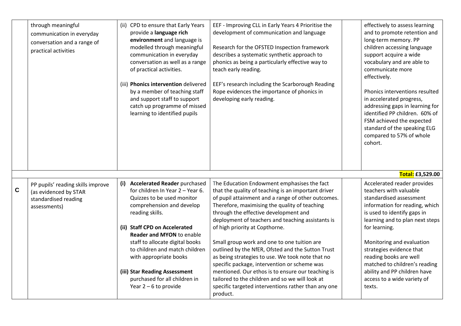|             | through meaningful<br>communication in everyday<br>conversation and a range of<br>practical activities | (ii) CPD to ensure that Early Years<br>provide a language rich<br>environment and language is<br>modelled through meaningful<br>communication in everyday<br>conversation as well as a range<br>of practical activities.<br>(iii) Phonics intervention delivered<br>by a member of teaching staff<br>and support staff to support<br>catch up programme of missed<br>learning to identified pupils                            | EEF - Improving CLL in Early Years 4 Prioritise the<br>development of communication and language<br>Research for the OFSTED Inspection framework<br>describes a systematic synthetic approach to<br>phonics as being a particularly effective way to<br>teach early reading.<br>EEF's research including the Scarborough Reading<br>Rope evidences the importance of phonics in<br>developing early reading.                                                                                                                                                                                                                                                                                                                 | effectively to assess learning<br>and to promote retention and<br>long-term memory. PP<br>children accessing language<br>support acquire a wide<br>vocabulary and are able to<br>communicate more<br>effectively.<br>Phonics interventions resulted<br>in accelerated progress,<br>addressing gaps in learning for<br>identified PP children. 60% of<br>FSM achieved the expected<br>standard of the speaking ELG<br>compared to 57% of whole<br>cohort. |
|-------------|--------------------------------------------------------------------------------------------------------|-------------------------------------------------------------------------------------------------------------------------------------------------------------------------------------------------------------------------------------------------------------------------------------------------------------------------------------------------------------------------------------------------------------------------------|------------------------------------------------------------------------------------------------------------------------------------------------------------------------------------------------------------------------------------------------------------------------------------------------------------------------------------------------------------------------------------------------------------------------------------------------------------------------------------------------------------------------------------------------------------------------------------------------------------------------------------------------------------------------------------------------------------------------------|----------------------------------------------------------------------------------------------------------------------------------------------------------------------------------------------------------------------------------------------------------------------------------------------------------------------------------------------------------------------------------------------------------------------------------------------------------|
|             |                                                                                                        |                                                                                                                                                                                                                                                                                                                                                                                                                               |                                                                                                                                                                                                                                                                                                                                                                                                                                                                                                                                                                                                                                                                                                                              | Total: £3,529.00                                                                                                                                                                                                                                                                                                                                                                                                                                         |
| $\mathbf C$ | PP pupils' reading skills improve<br>(as evidenced by STAR<br>standardised reading<br>assessments)     | <b>Accelerated Reader purchased</b><br>(i)<br>for children In Year 2 - Year 6.<br>Quizzes to be used monitor<br>comprehension and develop<br>reading skills.<br>(ii) Staff CPD on Accelerated<br><b>Reader and MYON to enable</b><br>staff to allocate digital books<br>to children and match children<br>with appropriate books<br>(iii) Star Reading Assessment<br>purchased for all children in<br>Year $2 - 6$ to provide | The Education Endowment emphasises the fact<br>that the quality of teaching is an important driver<br>of pupil attainment and a range of other outcomes.<br>Therefore, maximising the quality of teaching<br>through the effective development and<br>deployment of teachers and teaching assistants is<br>of high priority at Copthorne.<br>Small group work and one to one tuition are<br>outlined by the NfER, Ofsted and the Sutton Trust<br>as being strategies to use. We took note that no<br>specific package, intervention or scheme was<br>mentioned. Our ethos is to ensure our teaching is<br>tailored to the children and so we will look at<br>specific targeted interventions rather than any one<br>product. | Accelerated reader provides<br>teachers with valuable<br>standardised assessment<br>information for reading, which<br>is used to identify gaps in<br>learning and to plan next steps<br>for learning.<br>Monitoring and evaluation<br>strategies evidence that<br>reading books are well<br>matched to children's reading<br>ability and PP children have<br>access to a wide variety of<br>texts.                                                       |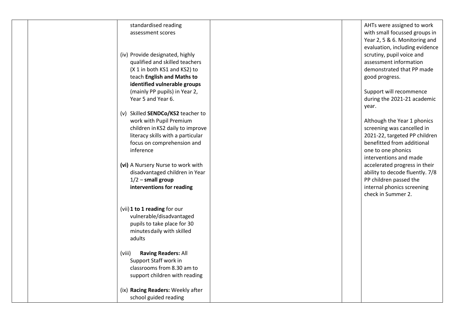| standardised reading<br>assessment scores                                                                                                                                                                              |
|------------------------------------------------------------------------------------------------------------------------------------------------------------------------------------------------------------------------|
| (iv) Provide designated, highly<br>qualified and skilled teachers<br>(X 1 in both KS1 and KS2) to<br>teach English and Maths to<br>identified vulnerable groups<br>(mainly PP pupils) in Year 2,<br>Year 5 and Year 6. |
| (v) Skilled SENDCo/KS2 teacher to<br>work with Pupil Premium<br>children in KS2 daily to improve<br>literacy skills with a particular<br>focus on comprehension and<br>inference                                       |
| (vi) A Nursery Nurse to work with<br>disadvantaged children in Year<br>$1/2$ – small group<br>interventions for reading                                                                                                |
| (vii) 1 to 1 reading for our<br>vulnerable/disadvantaged<br>pupils to take place for 30<br>minutes daily with skilled<br>adults                                                                                        |
| (viii)<br><b>Raving Readers: All</b><br>Support Staff work in<br>classrooms from 8.30 am to<br>support children with reading                                                                                           |
| (ix) Racing Readers: Weekly after<br>school guided reading                                                                                                                                                             |

AHTs were assigned to work with small focussed groups in Year 2, 5 & 6. Monitoring and evaluation, including evidence scrutiny, pupil voice and assessment information demonstrated that PP made good progress.

Support will recommence during the 202 1 -21 academic year .

Although the Year 1 phonics screening was cancelled in 2021 -22, targeted PP children benefitted from additional one to one phonics interventions and made accelerated progress in their ability to decode fluently. 7/8 PP children passed the internal phonics screening check in Summer 2.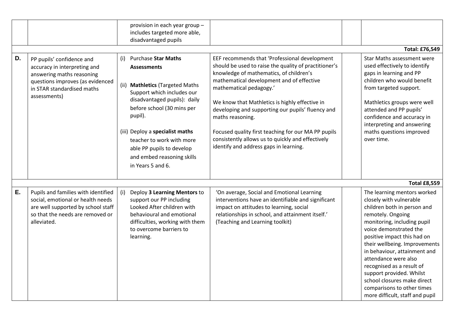|    |                                                                                                                                                                          | provision in each year group -<br>includes targeted more able,<br>disadvantaged pupils                                                                                                                                                                                                                                                                      |                                                                                                                                                                                                                                                                                                                                                                                                                                                                                                            |                                                                                                                                                                                                                                                                                                                                                                                                                                                      |
|----|--------------------------------------------------------------------------------------------------------------------------------------------------------------------------|-------------------------------------------------------------------------------------------------------------------------------------------------------------------------------------------------------------------------------------------------------------------------------------------------------------------------------------------------------------|------------------------------------------------------------------------------------------------------------------------------------------------------------------------------------------------------------------------------------------------------------------------------------------------------------------------------------------------------------------------------------------------------------------------------------------------------------------------------------------------------------|------------------------------------------------------------------------------------------------------------------------------------------------------------------------------------------------------------------------------------------------------------------------------------------------------------------------------------------------------------------------------------------------------------------------------------------------------|
|    |                                                                                                                                                                          |                                                                                                                                                                                                                                                                                                                                                             |                                                                                                                                                                                                                                                                                                                                                                                                                                                                                                            | <b>Total: £76,549</b>                                                                                                                                                                                                                                                                                                                                                                                                                                |
| D. | PP pupils' confidence and<br>accuracy in interpreting and<br>answering maths reasoning<br>questions improves (as evidenced<br>in STAR standardised maths<br>assessments) | <b>Purchase Star Maths</b><br>(i)<br><b>Assessments</b><br>(ii)<br><b>Mathletics (Targeted Maths</b><br>Support which includes our<br>disadvantaged pupils): daily<br>before school (30 mins per<br>pupil).<br>(iii) Deploy a specialist maths<br>teacher to work with more<br>able PP pupils to develop<br>and embed reasoning skills<br>in Years 5 and 6. | EEF recommends that 'Professional development<br>should be used to raise the quality of practitioner's<br>knowledge of mathematics, of children's<br>mathematical development and of effective<br>mathematical pedagogy.'<br>We know that Mathletics is highly effective in<br>developing and supporting our pupils' fluency and<br>maths reasoning.<br>Focused quality first teaching for our MA PP pupils<br>consistently allows us to quickly and effectively<br>identify and address gaps in learning. | Star Maths assessment were<br>used effectively to identify<br>gaps in learning and PP<br>children who would benefit<br>from targeted support.<br>Mathletics groups were well<br>attended and PP pupils'<br>confidence and accuracy in<br>interpreting and answering<br>maths questions improved<br>over time.                                                                                                                                        |
|    |                                                                                                                                                                          |                                                                                                                                                                                                                                                                                                                                                             |                                                                                                                                                                                                                                                                                                                                                                                                                                                                                                            | <b>Total £8,559</b>                                                                                                                                                                                                                                                                                                                                                                                                                                  |
| Ε. | Pupils and families with identified<br>social, emotional or health needs<br>are well supported by school staff<br>so that the needs are removed or<br>alleviated.        | (i)<br>Deploy 3 Learning Mentors to<br>support our PP including<br>Looked After children with<br>behavioural and emotional<br>difficulties, working with them<br>to overcome barriers to<br>learning.                                                                                                                                                       | 'On average, Social and Emotional Learning<br>interventions have an identifiable and significant<br>impact on attitudes to learning, social<br>relationships in school, and attainment itself.'<br>(Teaching and Learning toolkit)                                                                                                                                                                                                                                                                         | The learning mentors worked<br>closely with vulnerable<br>children both in person and<br>remotely. Ongoing<br>monitoring, including pupil<br>voice demonstrated the<br>positive impact this had on<br>their wellbeing. Improvements<br>in behaviour, attainment and<br>attendance were also<br>recognised as a result of<br>support provided. Whilst<br>school closures make direct<br>comparisons to other times<br>more difficult, staff and pupil |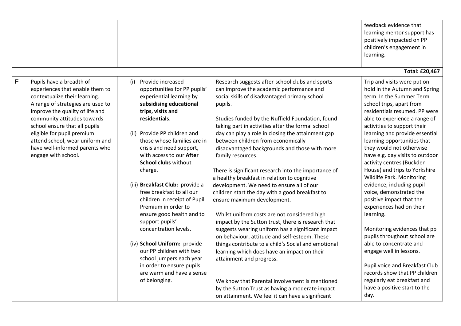|   |                                                                                                                                                                                                                                                                                                                                                                |                                                                                                                                                                                                                                                                                                                                                                                                                                                                                                                                                                                                                                                                                           |                                                                                                                                                                                                                                                                                                                                                                                                                                                                                                                                                                                                                                                                                                                                                                                                                                                                                                                                                                                                                                                                                                                                                                                 | feedback evidence that<br>learning mentor support has<br>positively impacted on PP<br>children's engagement in<br>learning.                                                                                                                                                                                                                                                                                                                                                                                                                                                                                                                                                                                                                                                                                                                   |
|---|----------------------------------------------------------------------------------------------------------------------------------------------------------------------------------------------------------------------------------------------------------------------------------------------------------------------------------------------------------------|-------------------------------------------------------------------------------------------------------------------------------------------------------------------------------------------------------------------------------------------------------------------------------------------------------------------------------------------------------------------------------------------------------------------------------------------------------------------------------------------------------------------------------------------------------------------------------------------------------------------------------------------------------------------------------------------|---------------------------------------------------------------------------------------------------------------------------------------------------------------------------------------------------------------------------------------------------------------------------------------------------------------------------------------------------------------------------------------------------------------------------------------------------------------------------------------------------------------------------------------------------------------------------------------------------------------------------------------------------------------------------------------------------------------------------------------------------------------------------------------------------------------------------------------------------------------------------------------------------------------------------------------------------------------------------------------------------------------------------------------------------------------------------------------------------------------------------------------------------------------------------------|-----------------------------------------------------------------------------------------------------------------------------------------------------------------------------------------------------------------------------------------------------------------------------------------------------------------------------------------------------------------------------------------------------------------------------------------------------------------------------------------------------------------------------------------------------------------------------------------------------------------------------------------------------------------------------------------------------------------------------------------------------------------------------------------------------------------------------------------------|
|   |                                                                                                                                                                                                                                                                                                                                                                |                                                                                                                                                                                                                                                                                                                                                                                                                                                                                                                                                                                                                                                                                           |                                                                                                                                                                                                                                                                                                                                                                                                                                                                                                                                                                                                                                                                                                                                                                                                                                                                                                                                                                                                                                                                                                                                                                                 | <b>Total: £20,467</b>                                                                                                                                                                                                                                                                                                                                                                                                                                                                                                                                                                                                                                                                                                                                                                                                                         |
| F | Pupils have a breadth of<br>experiences that enable them to<br>contextualize their learning.<br>A range of strategies are used to<br>improve the quality of life and<br>community attitudes towards<br>school ensure that all pupils<br>eligible for pupil premium<br>attend school, wear uniform and<br>have well-informed parents who<br>engage with school. | Provide increased<br>(i)<br>opportunities for PP pupils'<br>experiential learning by<br>subsidising educational<br>trips, visits and<br>residentials.<br>(ii) Provide PP children and<br>those whose families are in<br>crisis and need support,<br>with access to our After<br><b>School clubs without</b><br>charge.<br>(iii) Breakfast Club: provide a<br>free breakfast to all our<br>children in receipt of Pupil<br>Premium in order to<br>ensure good health and to<br>support pupils'<br>concentration levels.<br>(iv) School Uniform: provide<br>our PP children with two<br>school jumpers each year<br>in order to ensure pupils<br>are warm and have a sense<br>of belonging. | Research suggests after-school clubs and sports<br>can improve the academic performance and<br>social skills of disadvantaged primary school<br>pupils.<br>Studies funded by the Nuffield Foundation, found<br>taking part in activities after the formal school<br>day can play a role in closing the attainment gap<br>between children from economically<br>disadvantaged backgrounds and those with more<br>family resources.<br>There is significant research into the importance of<br>a healthy breakfast in relation to cognitive<br>development. We need to ensure all of our<br>children start the day with a good breakfast to<br>ensure maximum development.<br>Whilst uniform costs are not considered high<br>impact by the Sutton trust, there is research that<br>suggests wearing uniform has a significant impact<br>on behaviour, attitude and self-esteem. These<br>things contribute to a child's Social and emotional<br>learning which does have an impact on their<br>attainment and progress.<br>We know that Parental involvement is mentioned<br>by the Sutton Trust as having a moderate impact<br>on attainment. We feel it can have a significant | Trip and visits were put on<br>hold in the Autumn and Spring<br>term. In the Summer Term<br>school trips, apart from<br>residentials resumed. PP were<br>able to experience a range of<br>activities to support their<br>learning and provide essential<br>learning opportunities that<br>they would not otherwise<br>have e.g. day visits to outdoor<br>activity centres (Buckden<br>House) and trips to Yorkshire<br>Wildlife Park. Monitoring<br>evidence, including pupil<br>voice, demonstrated the<br>positive impact that the<br>experiences had on their<br>learning.<br>Monitoring evidences that pp<br>pupils throughout school are<br>able to concentrate and<br>engage well in lessons.<br>Pupil voice and Breakfast Club<br>records show that PP children<br>regularly eat breakfast and<br>have a positive start to the<br>day. |